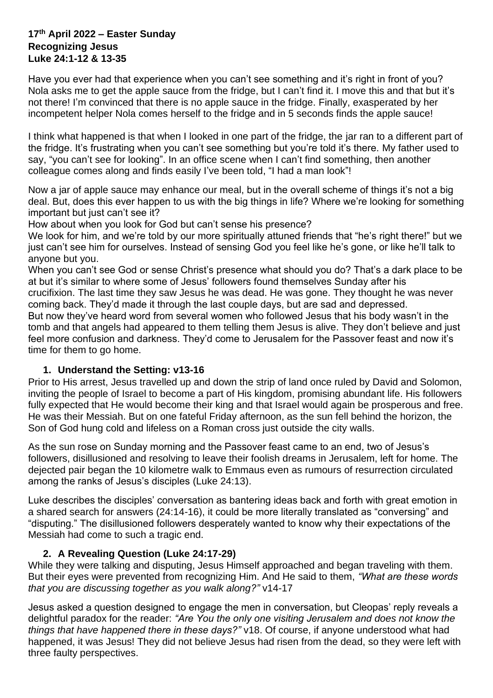#### **17th April 2022 – Easter Sunday Recognizing Jesus Luke 24:1-12 & 13-35**

Have you ever had that experience when you can't see something and it's right in front of you? Nola asks me to get the apple sauce from the fridge, but I can't find it. I move this and that but it's not there! I'm convinced that there is no apple sauce in the fridge. Finally, exasperated by her incompetent helper Nola comes herself to the fridge and in 5 seconds finds the apple sauce!

I think what happened is that when I looked in one part of the fridge, the jar ran to a different part of the fridge. It's frustrating when you can't see something but you're told it's there. My father used to say, "you can't see for looking". In an office scene when I can't find something, then another colleague comes along and finds easily I've been told, "I had a man look"!

Now a jar of apple sauce may enhance our meal, but in the overall scheme of things it's not a big deal. But, does this ever happen to us with the big things in life? Where we're looking for something important but just can't see it?

How about when you look for God but can't sense his presence?

We look for him, and we're told by our more spiritually attuned friends that "he's right there!" but we just can't see him for ourselves. Instead of sensing God you feel like he's gone, or like he'll talk to anyone but you.

When you can't see God or sense Christ's presence what should you do? That's a dark place to be at but it's similar to where some of Jesus' followers found themselves Sunday after his crucifixion. The last time they saw Jesus he was dead. He was gone. They thought he was never coming back. They'd made it through the last couple days, but are sad and depressed.

But now they've heard word from several women who followed Jesus that his body wasn't in the tomb and that angels had appeared to them telling them Jesus is alive. They don't believe and just feel more confusion and darkness. They'd come to Jerusalem for the Passover feast and now it's time for them to go home.

# **1. Understand the Setting: v13-16**

Prior to His arrest, Jesus travelled up and down the strip of land once ruled by David and Solomon, inviting the people of Israel to become a part of His kingdom, promising abundant life. His followers fully expected that He would become their king and that Israel would again be prosperous and free. He was their Messiah. But on one fateful Friday afternoon, as the sun fell behind the horizon, the Son of God hung cold and lifeless on a Roman cross just outside the city walls.

As the sun rose on Sunday morning and the Passover feast came to an end, two of Jesus's followers, disillusioned and resolving to leave their foolish dreams in Jerusalem, left for home. The dejected pair began the 10 kilometre walk to Emmaus even as rumours of resurrection circulated among the ranks of Jesus's disciples [\(Luke 24:13\)](https://biblia.com/bible/nlt/Luke%2024.13).

Luke describes the disciples' conversation as bantering ideas back and forth with great emotion in a shared search for answers (24:14-16), it could be more literally translated as "conversing" and "disputing." The disillusioned followers desperately wanted to know why their expectations of the Messiah had come to such a tragic end.

# **2. A Revealing Question (Luke 24:17-29)**

While they were talking and disputing, Jesus Himself approached and began traveling with them. But their eyes were prevented from recognizing Him. And He said to them, *"What are these words that you are discussing together as you walk along?"* v14-17

Jesus asked a question designed to engage the men in conversation, but Cleopas' reply reveals a delightful paradox for the reader: *"Are You the only one visiting Jerusalem and does not know the things that have happened there in these days?"* v18. Of course, if anyone understood what had happened, it was Jesus! They did not believe Jesus had risen from the dead, so they were left with three faulty perspectives.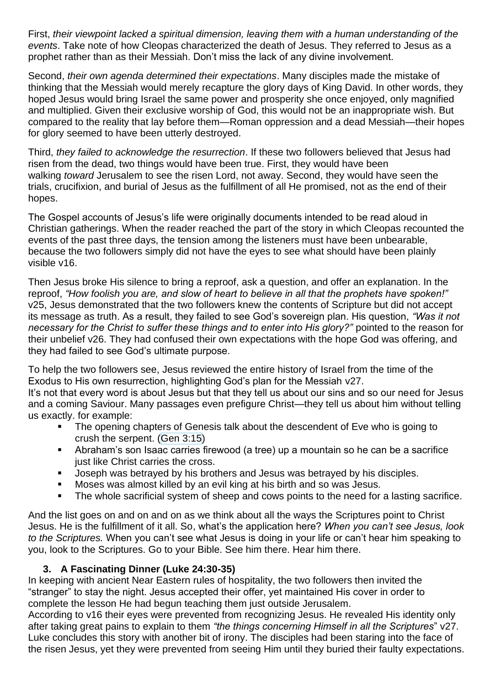First, *their viewpoint lacked a spiritual dimension, leaving them with a human understanding of the events*. Take note of how Cleopas characterized the death of Jesus. They referred to Jesus as a prophet rather than as their Messiah. Don't miss the lack of any divine involvement.

Second, *their own agenda determined their expectations*. Many disciples made the mistake of thinking that the Messiah would merely recapture the glory days of King David. In other words, they hoped Jesus would bring Israel the same power and prosperity she once enjoyed, only magnified and multiplied. Given their exclusive worship of God, this would not be an inappropriate wish. But compared to the reality that lay before them—Roman oppression and a dead Messiah—their hopes for glory seemed to have been utterly destroyed.

Third, *they failed to acknowledge the resurrection*. If these two followers believed that Jesus had risen from the dead, two things would have been true. First, they would have been walking *toward* Jerusalem to see the risen Lord, not away. Second, they would have seen the trials, crucifixion, and burial of Jesus as the fulfillment of all He promised, not as the end of their hopes.

The Gospel accounts of Jesus's life were originally documents intended to be read aloud in Christian gatherings. When the reader reached the part of the story in which Cleopas recounted the events of the past three days, the tension among the listeners must have been unbearable, because the two followers simply did not have the eyes to see what should have been plainly visible v16.

Then Jesus broke His silence to bring a reproof, ask a question, and offer an explanation. In the reproof, *"How foolish you are, and slow of heart to believe in all that the prophets have spoken!"* v25, Jesus demonstrated that the two followers knew the contents of Scripture but did not accept its message as truth. As a result, they failed to see God's sovereign plan. His question, *"Was it not necessary for the Christ to suffer these things and to enter into His glory?"* pointed to the reason for their unbelief v26. They had confused their own expectations with the hope God was offering, and they had failed to see God's ultimate purpose.

To help the two followers see, Jesus reviewed the entire history of Israel from the time of the Exodus to His own resurrection, highlighting God's plan for the Messiah v27. It's not that every word is about Jesus but that they tell us about our sins and so our need for Jesus and a coming Saviour. Many passages even prefigure Christ—they tell us about him without telling us exactly. for example:

- The opening chapters of Genesis talk about the descendent of Eve who is going to crush the serpent. (Gen [3:15\)](https://biblia.com/bible/esv/Gen%203.15)
- Abraham's son Isaac carries firewood (a tree) up a mountain so he can be a sacrifice just like Christ carries the cross.
- Joseph was betrayed by his brothers and Jesus was betrayed by his disciples.
- Moses was almost killed by an evil king at his birth and so was Jesus.
- The whole sacrificial system of sheep and cows points to the need for a lasting sacrifice.

And the list goes on and on and on as we think about all the ways the Scriptures point to Christ Jesus. He is the fulfillment of it all. So, what's the application here? *When you can't see Jesus, look to the Scriptures.* When you can't see what Jesus is doing in your life or can't hear him speaking to you, look to the Scriptures. Go to your Bible. See him there. Hear him there.

# **3. A Fascinating Dinner (Luke 24:30-35)**

In keeping with ancient Near Eastern rules of hospitality, the two followers then invited the "stranger" to stay the night. Jesus accepted their offer, yet maintained His cover in order to complete the lesson He had begun teaching them just outside Jerusalem.

According to v16 their eyes were prevented from recognizing Jesus. He revealed His identity only after taking great pains to explain to them *"the things concerning Himself in all the Scriptures*" v27. Luke concludes this story with another bit of irony. The disciples had been staring into the face of the risen Jesus, yet they were prevented from seeing Him until they buried their faulty expectations.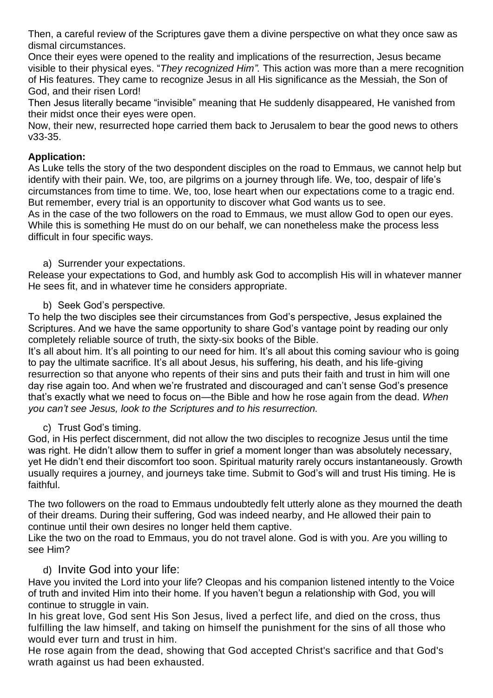Then, a careful review of the Scriptures gave them a divine perspective on what they once saw as dismal circumstances.

Once their eyes were opened to the reality and implications of the resurrection, Jesus became visible to their physical eyes. "*They recognized Him".* This action was more than a mere recognition of His features. They came to recognize Jesus in all His significance as the Messiah, the Son of God, and their risen Lord!

Then Jesus literally became "invisible" meaning that He suddenly disappeared, He vanished from their midst once their eyes were open.

Now, their new, resurrected hope carried them back to Jerusalem to bear the good news to others v33-35.

# **Application:**

As Luke tells the story of the two despondent disciples on the road to Emmaus, we cannot help but identify with their pain. We, too, are pilgrims on a journey through life. We, too, despair of life's circumstances from time to time. We, too, lose heart when our expectations come to a tragic end. But remember, every trial is an opportunity to discover what God wants us to see.

As in the case of the two followers on the road to Emmaus, we must allow God to open our eyes. While this is something He must do on our behalf, we can nonetheless make the process less difficult in four specific ways.

# a) Surrender your expectations.

Release your expectations to God, and humbly ask God to accomplish His will in whatever manner He sees fit, and in whatever time he considers appropriate.

b) Seek God's perspective*.*

To help the two disciples see their circumstances from God's perspective, Jesus explained the Scriptures. And we have the same opportunity to share God's vantage point by reading our only completely reliable source of truth, the sixty-six books of the Bible.

It's all about him. It's all pointing to our need for him. It's all about this coming saviour who is going to pay the ultimate sacrifice. It's all about Jesus, his suffering, his death, and his life-giving resurrection so that anyone who repents of their sins and puts their faith and trust in him will one day rise again too. And when we're frustrated and discouraged and can't sense God's presence that's exactly what we need to focus on—the Bible and how he rose again from the dead. *When you can't see Jesus, look to the Scriptures and to his resurrection.*

# c) Trust God's timing.

God, in His perfect discernment, did not allow the two disciples to recognize Jesus until the time was right. He didn't allow them to suffer in grief a moment longer than was absolutely necessary, yet He didn't end their discomfort too soon. Spiritual maturity rarely occurs instantaneously. Growth usually requires a journey, and journeys take time. Submit to God's will and trust His timing. He is faithful.

The two followers on the road to Emmaus undoubtedly felt utterly alone as they mourned the death of their dreams. During their suffering, God was indeed nearby, and He allowed their pain to continue until their own desires no longer held them captive.

Like the two on the road to Emmaus, you do not travel alone. God is with you. Are you willing to see Him?

# d) Invite God into your life:

Have you invited the Lord into your life? Cleopas and his companion listened intently to the Voice of truth and invited Him into their home. If you haven't begun a relationship with God, you will continue to struggle in vain.

In his great love, God sent His Son Jesus, lived a perfect life, and died on the cross, thus fulfilling the law himself, and taking on himself the punishment for the sins of all those who would ever turn and trust in him.

He rose again from the dead, showing that God accepted Christ's sacrifice and that God's wrath against us had been exhausted.